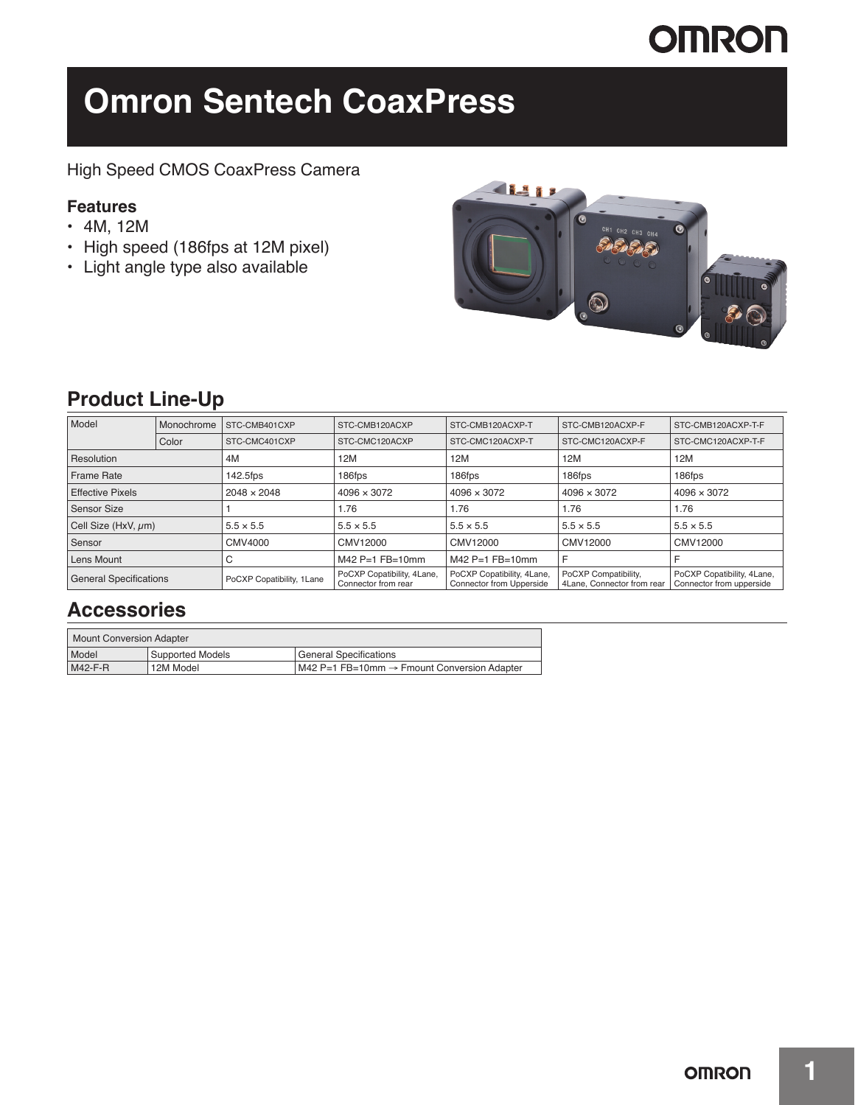# **OMRON**

# **Omron Sentech CoaxPress**

### High Speed CMOS CoaxPress Camera

### **Features**

- 4M, 12M
- High speed (186fps at 12M pixel)
- Light angle type also available



## **Product Line-Up**

| Model                         | Monochrome | STC-CMB401CXP             | STC-CMB120ACXP                                    | STC-CMB120ACXP-T                                              | STC-CMB120ACXP-F                                   | STC-CMB120ACXP-T-F                                     |
|-------------------------------|------------|---------------------------|---------------------------------------------------|---------------------------------------------------------------|----------------------------------------------------|--------------------------------------------------------|
|                               | Color      | STC-CMC401CXP             | STC-CMC120ACXP                                    | STC-CMC120ACXP-T                                              | STC-CMC120ACXP-F                                   | STC-CMC120ACXP-T-F                                     |
| Resolution                    |            | 4M                        | 12M                                               | 12M                                                           | 12M                                                | 12M                                                    |
| <b>Frame Rate</b>             |            | 142.5fps                  | 186fps                                            | 186fps                                                        | 186fps                                             | 186fps                                                 |
| <b>Effective Pixels</b>       |            | 2048 × 2048               | $4096 \times 3072$                                | $4096 \times 3072$                                            | $4096 \times 3072$                                 | $4096 \times 3072$                                     |
| Sensor Size                   |            |                           | 1.76                                              | 1.76                                                          | 1.76                                               | 1.76                                                   |
| Cell Size (HxV, um)           |            | $5.5 \times 5.5$          | $5.5 \times 5.5$                                  | $5.5 \times 5.5$                                              | $5.5 \times 5.5$                                   | $5.5 \times 5.5$                                       |
| Sensor                        |            | CMV4000                   | CMV12000                                          | CMV12000                                                      | CMV12000                                           | CMV12000                                               |
| Lens Mount                    |            | U                         | $M42$ P=1 FB=10mm                                 | $M42$ P=1 FB=10mm                                             | F                                                  |                                                        |
| <b>General Specifications</b> |            | PoCXP Copatibility, 1Lane | PoCXP Copatibility, 4Lane,<br>Connector from rear | PoCXP Copatibility, 4Lane,<br><b>Connector from Upperside</b> | PoCXP Compatibility,<br>4Lane, Connector from rear | PoCXP Copatibility, 4Lane,<br>Connector from upperside |

### **Accessories**

| Mount Conversion Adapter |                  |                                             |  |  |  |  |
|--------------------------|------------------|---------------------------------------------|--|--|--|--|
| Model                    | Supported Models | ' General Specifications                    |  |  |  |  |
| M42-F-R                  | 12M Model        | M42 P=1 FB=10mm → Fmount Conversion Adapter |  |  |  |  |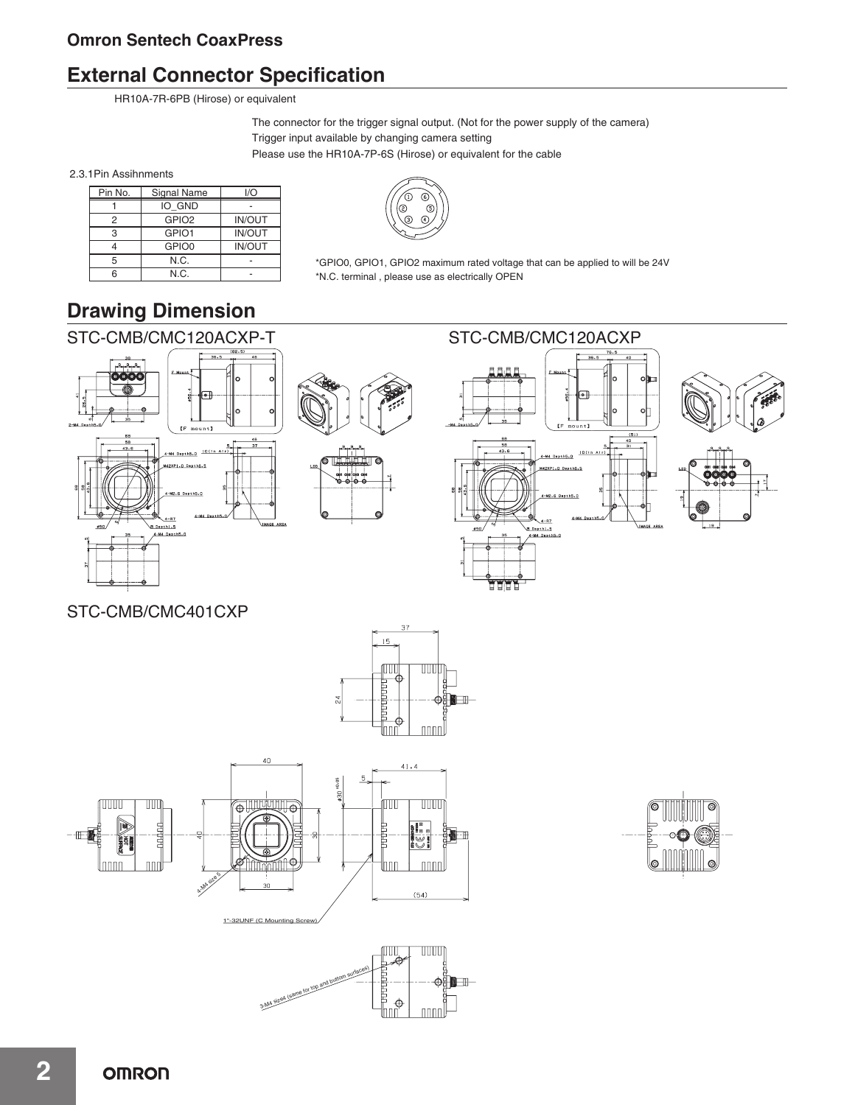## **External Connector Specification**

HR10A-7R-6PB (Hirose) or equivalent

The connector for the trigger signal output. (Not for the power supply of the camera) Trigger input available by changing camera setting Please use the HR10A-7P-6S (Hirose) or equivalent for the cable

2.3.1Pin Assihnments

| Pin No. | Signal Name       | I/O           |
|---------|-------------------|---------------|
|         | IO GND            |               |
|         | GPIO <sub>2</sub> | <b>IN/OUT</b> |
| З       | GPIO1             | <b>IN/OUT</b> |
|         | GPIO0             | <b>IN/OUT</b> |
| 5       | N.C.              |               |
|         | N.C.              |               |



\*GPIO0, GPIO1, GPIO2 maximum rated voltage that can be applied to will be 24V \*N.C. terminal , please use as electrically OPEN

# **Drawing Dimension**



STC-CMB/CMC401CXP